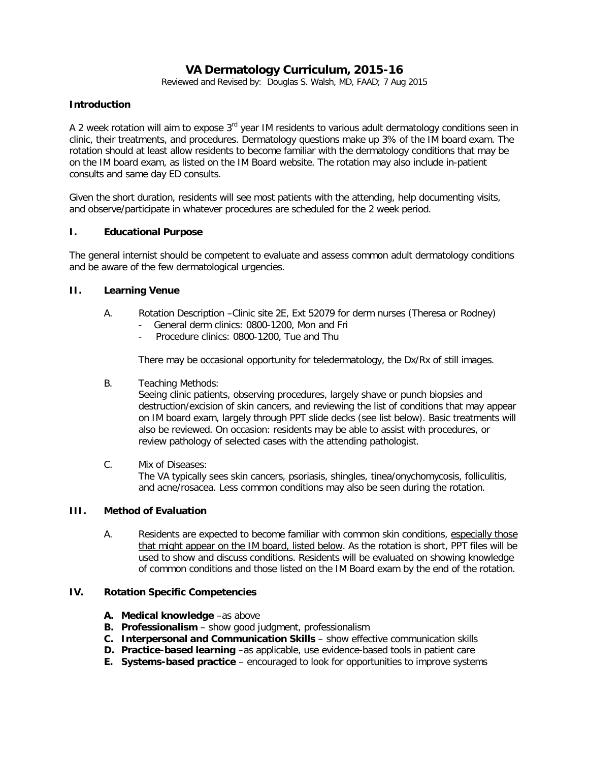# **VA Dermatology Curriculum, 2015-16**

Reviewed and Revised by: Douglas S. Walsh, MD, FAAD; 7 Aug 2015

## **Introduction**

A 2 week rotation will aim to expose 3<sup>rd</sup> year IM residents to various adult dermatology conditions seen in clinic, their treatments, and procedures. Dermatology questions make up 3% of the IM board exam. The rotation should at least allow residents to become familiar with the dermatology conditions that may be on the IM board exam, as listed on the IM Board website. The rotation may also include in-patient consults and same day ED consults.

Given the short duration, residents will see most patients with the attending, help documenting visits, and observe/participate in whatever procedures are scheduled for the 2 week period.

## **I. Educational Purpose**

The general internist should be competent to evaluate and assess common adult dermatology conditions and be aware of the few dermatological urgencies.

## **II. Learning Venue**

- A. Rotation Description –Clinic site 2E, Ext 52079 for derm nurses (Theresa or Rodney)
	- General derm clinics: 0800-1200, Mon and Fri
	- Procedure clinics: 0800-1200, Tue and Thu

There may be occasional opportunity for teledermatology, the Dx/Rx of still images.

B. Teaching Methods:

Seeing clinic patients, observing procedures, largely shave or punch biopsies and destruction/excision of skin cancers, and reviewing the list of conditions that may appear on IM board exam, largely through PPT slide decks (see list below). Basic treatments will also be reviewed. On occasion: residents may be able to assist with procedures, or review pathology of selected cases with the attending pathologist.

C. Mix of Diseases: The VA typically sees skin cancers, psoriasis, shingles, tinea/onychomycosis, folliculitis, and acne/rosacea. Less common conditions may also be seen during the rotation.

## **III. Method of Evaluation**

A. Residents are expected to become familiar with common skin conditions, especially those that might appear on the IM board, listed below. As the rotation is short, PPT files will be used to show and discuss conditions. Residents will be evaluated on showing knowledge of common conditions and those listed on the IM Board exam by the end of the rotation.

#### **IV. Rotation Specific Competencies**

- **A. Medical knowledge** –as above
- **B. Professionalism**  show good judgment, professionalism
- **C. Interpersonal and Communication Skills** show effective communication skills
- **D. Practice-based learning** –as applicable, use evidence-based tools in patient care
- **E. Systems-based practice**  encouraged to look for opportunities to improve systems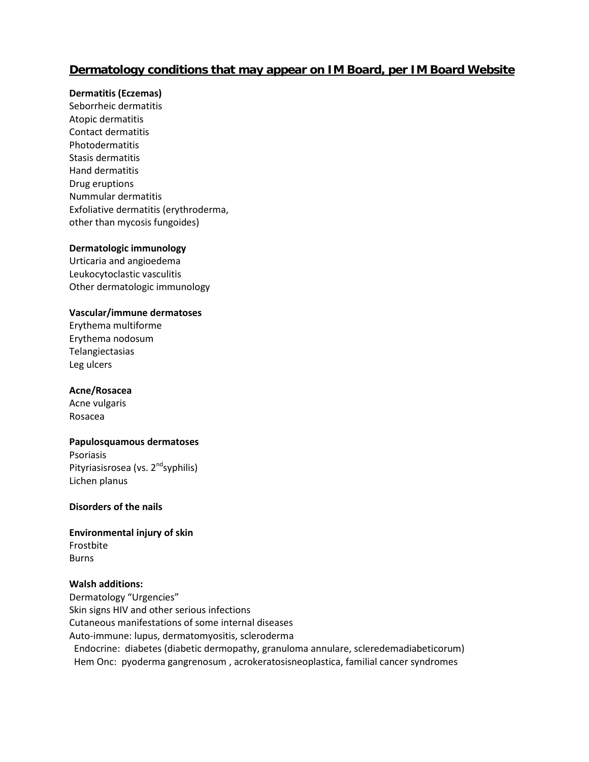## **Dermatology conditions that may appear on IM Board, per IM Board Website**

## **Dermatitis (Eczemas)**

Seborrheic dermatitis Atopic dermatitis Contact dermatitis Photodermatitis Stasis dermatitis Hand dermatitis Drug eruptions Nummular dermatitis Exfoliative dermatitis (erythroderma, other than mycosis fungoides)

#### **Dermatologic immunology**

Urticaria and angioedema Leukocytoclastic vasculitis Other dermatologic immunology

## **Vascular/immune dermatoses**

Erythema multiforme Erythema nodosum Telangiectasias Leg ulcers

#### **Acne/Rosacea**

Acne vulgaris Rosacea

## **Papulosquamous dermatoses**

Psoriasis Pityriasisrosea (vs. 2<sup>nd</sup>syphilis) Lichen planus

#### **Disorders of the nails**

## **Environmental injury of skin**  Frostbite Burns

#### **Walsh additions:**

Dermatology "Urgencies" Skin signs HIV and other serious infections Cutaneous manifestations of some internal diseases Auto-immune: lupus, dermatomyositis, scleroderma Endocrine: diabetes (diabetic dermopathy, granuloma annulare, scleredemadiabeticorum) Hem Onc: pyoderma gangrenosum , acrokeratosisneoplastica, familial cancer syndromes